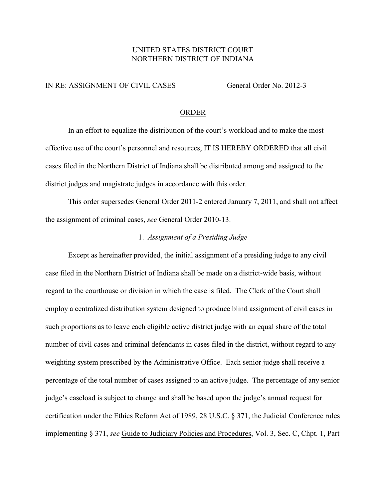# UNITED STATES DISTRICT COURT NORTHERN DISTRICT OF INDIANA

#### IN RE: ASSIGNMENT OF CIVIL CASES General Order No. 2012-3

## ORDER

In an effort to equalize the distribution of the court's workload and to make the most effective use of the court's personnel and resources, IT IS HEREBY ORDERED that all civil cases filed in the Northern District of Indiana shall be distributed among and assigned to the district judges and magistrate judges in accordance with this order.

This order supersedes General Order 2011-2 entered January 7, 2011, and shall not affect the assignment of criminal cases, *see* General Order 2010-13.

### 1. *Assignment of a Presiding Judge*

Except as hereinafter provided, the initial assignment of a presiding judge to any civil case filed in the Northern District of Indiana shall be made on a district-wide basis, without regard to the courthouse or division in which the case is filed. The Clerk of the Court shall employ a centralized distribution system designed to produce blind assignment of civil cases in such proportions as to leave each eligible active district judge with an equal share of the total number of civil cases and criminal defendants in cases filed in the district, without regard to any weighting system prescribed by the Administrative Office. Each senior judge shall receive a percentage of the total number of cases assigned to an active judge. The percentage of any senior judge's caseload is subject to change and shall be based upon the judge's annual request for certification under the Ethics Reform Act of 1989, 28 U.S.C. § 371, the Judicial Conference rules implementing § 371, *see* Guide to Judiciary Policies and Procedures, Vol. 3, Sec. C, Chpt. 1, Part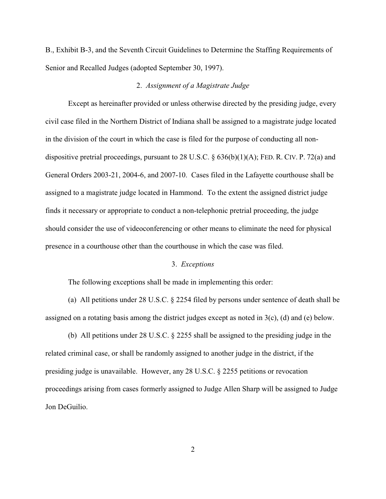B., Exhibit B-3, and the Seventh Circuit Guidelines to Determine the Staffing Requirements of Senior and Recalled Judges (adopted September 30, 1997).

## 2. *Assignment of a Magistrate Judge*

Except as hereinafter provided or unless otherwise directed by the presiding judge, every civil case filed in the Northern District of Indiana shall be assigned to a magistrate judge located in the division of the court in which the case is filed for the purpose of conducting all nondispositive pretrial proceedings, pursuant to 28 U.S.C. § 636(b)(1)(A); FED. R. CIV. P. 72(a) and General Orders 2003-21, 2004-6, and 2007-10. Cases filed in the Lafayette courthouse shall be assigned to a magistrate judge located in Hammond. To the extent the assigned district judge finds it necessary or appropriate to conduct a non-telephonic pretrial proceeding, the judge should consider the use of videoconferencing or other means to eliminate the need for physical presence in a courthouse other than the courthouse in which the case was filed.

### 3. *Exceptions*

The following exceptions shall be made in implementing this order:

(a) All petitions under 28 U.S.C. § 2254 filed by persons under sentence of death shall be assigned on a rotating basis among the district judges except as noted in 3(c), (d) and (e) below.

(b) All petitions under 28 U.S.C. § 2255 shall be assigned to the presiding judge in the related criminal case, or shall be randomly assigned to another judge in the district, if the presiding judge is unavailable. However, any 28 U.S.C. § 2255 petitions or revocation proceedings arising from cases formerly assigned to Judge Allen Sharp will be assigned to Judge Jon DeGuilio.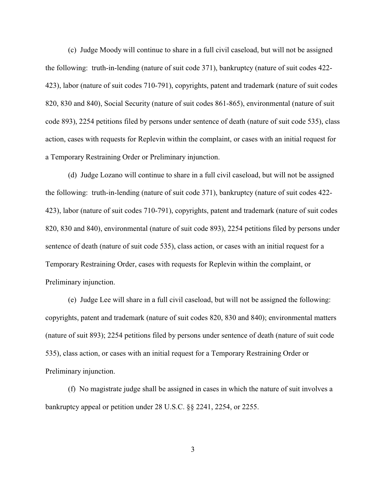(c) Judge Moody will continue to share in a full civil caseload, but will not be assigned the following: truth-in-lending (nature of suit code 371), bankruptcy (nature of suit codes 422- 423), labor (nature of suit codes 710-791), copyrights, patent and trademark (nature of suit codes 820, 830 and 840), Social Security (nature of suit codes 861-865), environmental (nature of suit code 893), 2254 petitions filed by persons under sentence of death (nature of suit code 535), class action, cases with requests for Replevin within the complaint, or cases with an initial request for a Temporary Restraining Order or Preliminary injunction.

(d) Judge Lozano will continue to share in a full civil caseload, but will not be assigned the following: truth-in-lending (nature of suit code 371), bankruptcy (nature of suit codes 422- 423), labor (nature of suit codes 710-791), copyrights, patent and trademark (nature of suit codes 820, 830 and 840), environmental (nature of suit code 893), 2254 petitions filed by persons under sentence of death (nature of suit code 535), class action, or cases with an initial request for a Temporary Restraining Order, cases with requests for Replevin within the complaint, or Preliminary injunction.

(e) Judge Lee will share in a full civil caseload, but will not be assigned the following: copyrights, patent and trademark (nature of suit codes 820, 830 and 840); environmental matters (nature of suit 893); 2254 petitions filed by persons under sentence of death (nature of suit code 535), class action, or cases with an initial request for a Temporary Restraining Order or Preliminary injunction.

(f) No magistrate judge shall be assigned in cases in which the nature of suit involves a bankruptcy appeal or petition under 28 U.S.C. §§ 2241, 2254, or 2255.

3